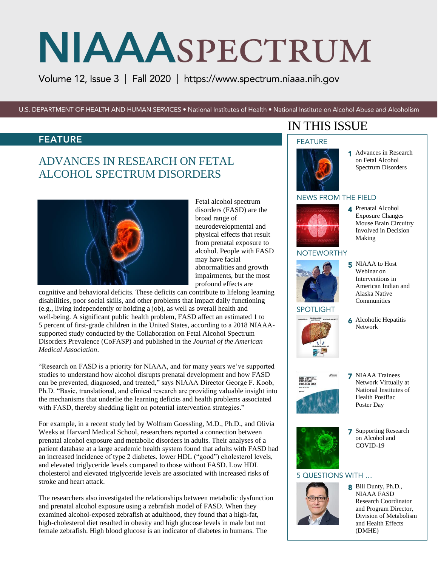Volume 12, Issue 3 | Fall 2020 | <https://www.spectrum.niaaa.nih.gov>

U.S. DEPARTMENT OF HEALTH AND HUMAN SERVICES . National Institutes of Health . National Institute on Alcohol Abuse and Alcoholism

### FEATURE

# ADVANCES IN RESEARCH ON FETAL ALCOHOL SPECTRUM DISORDERS



Fetal alcohol spectrum disorders (FASD) are the broad range of neurodevelopmental and physical effects that result from prenatal exposure to alcohol. People with FASD may have facial abnormalities and growth impairments, but the most profound effects are

cognitive and behavioral deficits. These deficits can contribute to lifelong learning disabilities, poor social skills, and other problems that impact daily functioning (e.g., living independently or holding a job), as well as overall health and well-being. A significant public health problem, FASD affect an estimated 1 to 5 percent of first-grade children in the United States, according to a 2018 NIAAAsupported study conducted by the Collaboration on Fetal Alcohol Spectrum Disorders Prevalence (CoFASP) and published in the *Journal of the American Medical Association*.

"Research on FASD is a priority for NIAAA, and for many years we've supported studies to understand how alcohol disrupts prenatal development and how FASD can be prevented, diagnosed, and treated," says NIAAA Director George F. Koob, Ph.D. "Basic, translational, and clinical research are providing valuable insight into the mechanisms that underlie the learning deficits and health problems associated with FASD, thereby shedding light on potential intervention strategies."

For example, in a recent study led by Wolfram Goessling, M.D., Ph.D., and Olivia Weeks at Harvard Medical School, researchers reported a connection between prenatal alcohol exposure and metabolic disorders in adults. Their analyses of a patient database at a large academic health system found that adults with FASD had an increased incidence of type 2 diabetes, lower HDL ("good") cholesterol levels, and elevated triglyceride levels compared to those without FASD. Low HDL cholesterol and elevated triglyceride levels are associated with increased risks of stroke and heart attack.

The researchers also investigated the relationships between metabolic dysfunction and prenatal alcohol exposure using a zebrafish model of FASD. When they examined alcohol-exposed zebrafish at adulthood, they found that a high-fat, high-cholesterol diet resulted in obesity and high glucose levels in male but not female zebrafish. High blood glucose is an indicator of diabetes in humans. The

# IN THIS ISSUE

#### FEATURE



1 Advances in Research on Fetal Alcohol Spectrum Disorders

#### NEWS FROM THE FIELD



4 Prenatal Alcohol Exposure Changes Mouse Brain Circuitry Involved in Decision Making

#### **NOTEWORTHY**



SPOTLIGHT

- 5 NIAAA to Host Webinar on Interventions in American Indian and Alaska Native Communities
- **6** Alcoholic Hepatitis Network



**7** NIAAA Trainees Network Virtually at National Institutes of Health PostBac Poster Day



7 Supporting Research on Alcohol and COVID-19

#### 5 QUESTIONS WITH …



8 Bill Dunty, Ph.D., NIAAA FASD Research Coordinator and Program Director, Division of Metabolism and Health Effects (DMHE)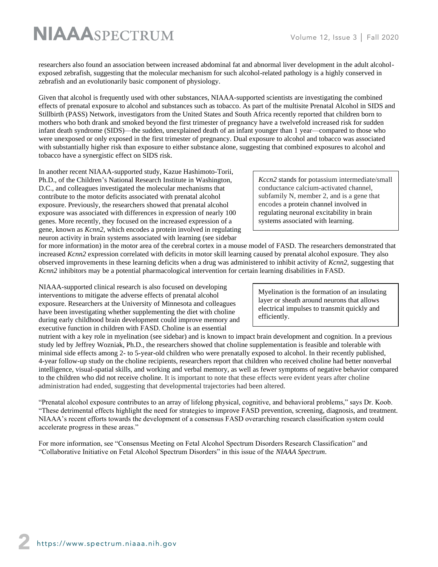researchers also found an association between increased abdominal fat and abnormal liver development in the adult alcoholexposed zebrafish, suggesting that the molecular mechanism for such alcohol-related pathology is a highly conserved in zebrafish and an evolutionarily basic component of physiology.

Given that alcohol is frequently used with other substances, NIAAA-supported scientists are investigating the combined effects of prenatal exposure to alcohol and substances such as tobacco. As part of the multisite Prenatal Alcohol in SIDS and Stillbirth (PASS) Network, investigators from the United States and South Africa recently reported that children born to mothers who both drank and smoked beyond the first trimester of pregnancy have a twelvefold increased risk for sudden infant death syndrome (SIDS)—the sudden, unexplained death of an infant younger than 1 year—compared to those who were unexposed or only exposed in the first trimester of pregnancy. Dual exposure to alcohol and tobacco was associated with substantially higher risk than exposure to either substance alone, suggesting that combined exposures to alcohol and tobacco have a synergistic effect on SIDS risk.

In another recent NIAAA-supported study, Kazue Hashimoto-Torii, Ph.D., of the Children's National Research Institute in Washington, D.C., and colleagues investigated the molecular mechanisms that contribute to the motor deficits associated with prenatal alcohol exposure. Previously, the researchers showed that prenatal alcohol exposure was associated with differences in expression of nearly 100 genes. More recently, they focused on the increased expression of a gene, known as *Kcnn2*, which encodes a protein involved in regulating neuron activity in brain systems associated with learning (see sidebar

*Kccn2* stands for potassium intermediate/small conductance calcium-activated channel, subfamily N, member 2, and is a gene that encodes a protein channel involved in regulating neuronal excitability in brain systems associated with learning.

for more information) in the motor area of the cerebral cortex in a mouse model of FASD. The researchers demonstrated that increased *Kcnn2* expression correlated with deficits in motor skill learning caused by prenatal alcohol exposure. They also observed improvements in these learning deficits when a drug was administered to inhibit activity of *Kcnn2,* suggesting that *Kcnn2* inhibitors may be a potential pharmacological intervention for certain learning disabilities in FASD.

NIAAA-supported clinical research is also focused on developing interventions to mitigate the adverse effects of prenatal alcohol exposure. Researchers at the University of Minnesota and colleagues have been investigating whether supplementing the diet with choline during early childhood brain development could improve memory and executive function in children with FASD. Choline is an essential

Myelination is the formation of an insulating layer or sheath around neurons that allows electrical impulses to transmit quickly and efficiently.

nutrient with a key role in myelination (see sidebar) and is known to impact brain development and cognition. In a previous study led by Jeffrey Wozniak, Ph.D., the researchers showed that choline supplementation is feasible and tolerable with minimal side effects among 2- to 5-year-old children who were prenatally exposed to alcohol. In their recently published, 4-year follow-up study on the choline recipients, researchers report that children who received choline had better nonverbal intelligence, visual-spatial skills, and working and verbal memory, as well as fewer symptoms of negative behavior compared to the children who did not receive choline. It is important to note that these effects were evident years after choline administration had ended, suggesting that developmental trajectories had been altered.

"Prenatal alcohol exposure contributes to an array of lifelong physical, cognitive, and behavioral problems," says Dr. Koob. "These detrimental effects highlight the need for strategies to improve FASD prevention, screening, diagnosis, and treatment. NIAAA's recent efforts towards the development of a consensus FASD overarching research classification system could accelerate progress in these areas."

For more information, see "Consensus Meeting on Fetal Alcohol Spectrum Disorders Research Classification" and "Collaborative Initiative on Fetal Alcohol Spectrum Disorders" in this issue of the *NIAAA Spectrum*.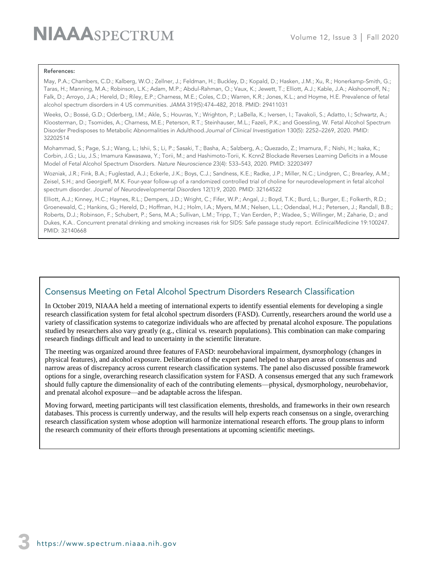#### References:

May, P.A.; Chambers, C.D.; Kalberg, W.O.; Zellner, J.; Feldman, H.; Buckley, D.; Kopald, D.; Hasken, J.M.; Xu, R.; Honerkamp-Smith, G.; Taras, H.; Manning, M.A.; Robinson, L.K.; Adam, M.P.; Abdul-Rahman, O.; Vaux, K.; Jewett, T.; Elliott, A.J.; Kable, J.A.; Akshoomoff, N.; Falk, D.; Arroyo, J.A.; Hereld, D.; Riley, E.P.; Charness, M.E.; Coles, C.D.; Warren, K.R.; Jones, K.L.; and Hoyme, H.E. Prevalence of fetal alcohol spectrum disorders in 4 US communities. *JAMA* 319(5):474–482, 2018. PMID: 29411031

Weeks, O.; Bossé, G.D.; Oderberg, I.M.; Akle, S.; Houvras, Y.; Wrighton, P.; LaBella, K.; Iversen, I.; Tavakoli, S.; Adatto, I.; Schwartz, A.; Kloosterman, D.; Tsomides, A.; Charness, M.E.; Peterson, R.T.; Steinhauser, M.L.; Fazeli, P.K.; and Goessling, W. Fetal Alcohol Spectrum Disorder Predisposes to Metabolic Abnormalities in Adulthood.*Journal of Clinical Investigation* 130(5): 2252–2269, 2020. PMID: 32202514

Mohammad, S.; Page, S.J.; Wang, L.; Ishii, S.; Li, P.; Sasaki, T.; Basha, A.; Salzberg, A.; Quezado, Z.; Imamura, F.; Nishi, H.; Isaka, K.; Corbin, J.G.; Liu, J.S.; Imamura Kawasawa, Y.; Torii, M.; and Hashimoto-Torii, K. Kcnn2 Blockade Reverses Learning Deficits in a Mouse Model of Fetal Alcohol Spectrum Disorders. *Nature Neuroscience* 23(4): 533–543, 2020. PMID: 32203497

Wozniak, J.R.; Fink, B.A.; Fuglestad, A.J.; Eckerle, J.K.; Boys, C.J.; Sandness, K.E.; Radke, J.P.; Miller, N.C.; Lindgren, C.; Brearley, A.M.; Zeisel, S.H.; and Georgieff, M.K. Four-year follow-up of a randomized controlled trial of choline for neurodevelopment in fetal alcohol spectrum disorder*. Journal of Neurodevelopmental Disorders* 12(1):9*,* 2020. PMID: 32164522

Elliott, A.J.; Kinney, H.C.; Haynes, R.L.; Dempers, J.D.; Wright, C.; Fifer, W.P.; Angal, J.; Boyd, T.K.; Burd, L.; Burger, E.; Folkerth, R.D.; Groenewald, C.; Hankins, G.; Hereld, D.; Hoffman, H.J.; Holm, I.A.; Myers, M.M.; Nelsen, L.L.; Odendaal, H.J.; Petersen, J.; Randall, B.B.; Roberts, D.J.; Robinson, F.; Schubert, P.; Sens, M.A.; Sullivan, L.M.; Tripp, T.; Van Eerden, P.; Wadee, S.; Willinger, M.; Zaharie, D.; and Dukes, K.A.. Concurrent prenatal drinking and smoking increases risk for SIDS: Safe passage study report. *EclinicalMedicine* 19:100247. PMID: 32140668

### Consensus Meeting on Fetal Alcohol Spectrum Disorders Research Classification

In October 2019, NIAAA held a meeting of international experts to identify essential elements for developing a single research classification system for fetal alcohol spectrum disorders (FASD). Currently, researchers around the world use a variety of classification systems to categorize individuals who are affected by prenatal alcohol exposure. The populations studied by researchers also vary greatly (e.g., clinical vs. research populations). This combination can make comparing research findings difficult and lead to uncertainty in the scientific literature.

The meeting was organized around three features of FASD: neurobehavioral impairment, dysmorphology (changes in physical features), and alcohol exposure. Deliberations of the expert panel helped to sharpen areas of consensus and narrow areas of discrepancy across current research classification systems. The panel also discussed possible framework options for a single, overarching research classification system for FASD. A consensus emerged that any such framework should fully capture the dimensionality of each of the contributing elements—physical, dysmorphology, neurobehavior, and prenatal alcohol exposure—and be adaptable across the lifespan.

Moving forward, meeting participants will test classification elements, thresholds, and frameworks in their own research databases. This process is currently underway, and the results will help experts reach consensus on a single, overarching research classification system whose adoption will harmonize international research efforts. The group plans to inform the research community of their efforts through presentations at upcoming scientific meetings.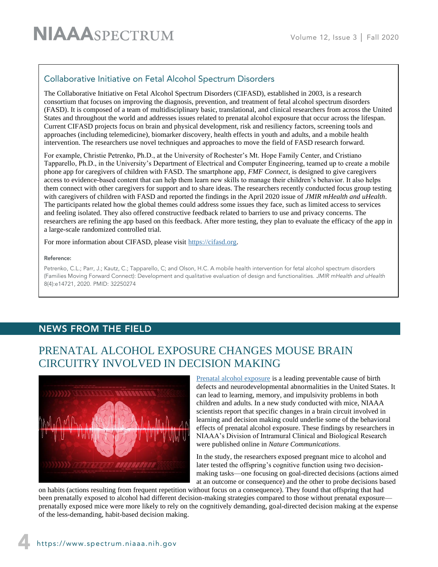## Collaborative Initiative on Fetal Alcohol Spectrum Disorders

The Collaborative Initiative on Fetal Alcohol Spectrum Disorders (CIFASD), established in 2003, is a research consortium that focuses on improving the diagnosis, prevention, and treatment of fetal alcohol spectrum disorders (FASD). It is composed of a team of multidisciplinary basic, translational, and clinical researchers from across the United States and throughout the world and addresses issues related to prenatal alcohol exposure that occur across the lifespan. Current CIFASD projects focus on brain and physical development, risk and resiliency factors, screening tools and approaches (including telemedicine), biomarker discovery, health effects in youth and adults, and a mobile health intervention. The researchers use novel techniques and approaches to move the field of FASD research forward.

For example, Christie Petrenko, Ph.D., at the University of Rochester's Mt. Hope Family Center, and Cristiano Tapparello, Ph.D., in the University's Department of Electrical and Computer Engineering, teamed up to create a mobile phone app for caregivers of children with FASD. The smartphone app, *FMF Connect*, is designed to give caregivers access to evidence-based content that can help them learn new skills to manage their children's behavior. It also helps them connect with other caregivers for support and to share ideas. The researchers recently conducted focus group testing with caregivers of children with FASD and reported the findings in the April 2020 issue of *JMIR mHealth and uHealth*. The participants related how the global themes could address some issues they face, such as limited access to services and feeling isolated. They also offered constructive feedback related to barriers to use and privacy concerns. The researchers are refining the app based on this feedback. After more testing, they plan to evaluate the efficacy of the app in a large-scale randomized controlled trial.

For more information about CIFASD, please visit [https://cifasd.org.](https://cifasd.org/)

#### Reference:

Petrenko, C.L.; Parr, J.; Kautz, C.; Tapparello, C; and Olson, H.C. A mobile health intervention for fetal alcohol spectrum disorders (Families Moving Forward Connect): Development and qualitative evaluation of design and functionalities. *JMIR mHealth and uHealth* 8(4):e14721, 2020. PMID: 32250274

## NEWS FROM THE FIELD

# PRENATAL ALCOHOL EXPOSURE CHANGES MOUSE BRAIN CIRCUITRY INVOLVED IN DECISION MAKING



[Prenatal alcohol exposure](https://www.niaaa.nih.gov/publications/brochures-and-fact-sheets/fetal-alcohol-exposure) is a leading preventable cause of birth defects and neurodevelopmental abnormalities in the United States. It can lead to learning, memory, and impulsivity problems in both children and adults. In a new study conducted with mice, NIAAA scientists report that specific changes in a brain circuit involved in learning and decision making could underlie some of the behavioral effects of prenatal alcohol exposure. These findings by researchers in NIAAA's Division of Intramural Clinical and Biological Research were published online in *Nature Communications*.

In the study, the researchers exposed pregnant mice to alcohol and later tested the offspring's cognitive function using two decisionmaking tasks—one focusing on goal-directed decisions (actions aimed at an outcome or consequence) and the other to probe decisions based

on habits (actions resulting from frequent repetition without focus on a consequence). They found that offspring that had been prenatally exposed to alcohol had different decision-making strategies compared to those without prenatal exposure prenatally exposed mice were more likely to rely on the cognitively demanding, goal-directed decision making at the expense of the less-demanding, habit-based decision making.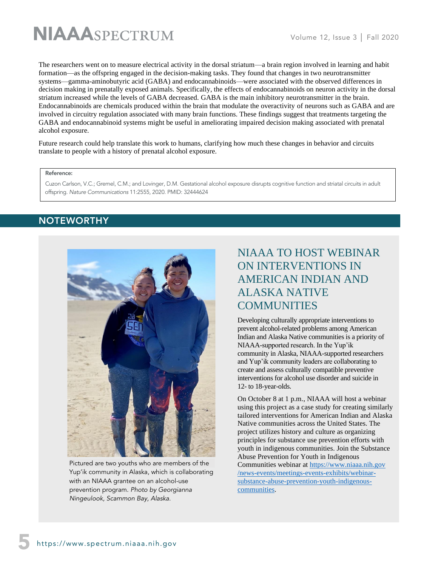The researchers went on to measure electrical activity in the dorsal striatum—a brain region involved in learning and habit formation—as the offspring engaged in the decision-making tasks. They found that changes in two neurotransmitter systems—gamma-aminobutyric acid (GABA) and endocannabinoids—were associated with the observed differences in decision making in prenatally exposed animals. Specifically, the effects of endocannabinoids on neuron activity in the dorsal striatum increased while the levels of GABA decreased. GABA is the main inhibitory neurotransmitter in the brain. Endocannabinoids are chemicals produced within the brain that modulate the overactivity of neurons such as GABA and are involved in circuitry regulation associated with many brain functions. These findings suggest that treatments targeting the GABA and endocannabinoid systems might be useful in ameliorating impaired decision making associated with prenatal alcohol exposure.

Future research could help translate this work to humans, clarifying how much these changes in behavior and circuits translate to people with a history of prenatal alcohol exposure.

#### Reference:

Cuzon Carlson, V.C.; Gremel, C.M.; and Lovinger, D.M. Gestational alcohol exposure disrupts cognitive function and striatal circuits in adult offspring. *Nature Communications* 11:2555, 2020. PMID: 32444624

## **NOTEWORTHY**



Pictured are two youths who are members of the Yup'ik community in Alaska, which is collaborating with an NIAAA grantee on an alcohol-use prevention program. *Photo by Georgianna Ningeulook, Scammon Bay, Alaska.*

# NIAAA TO HOST WEBINAR ON INTERVENTIONS IN AMERICAN INDIAN AND ALASKA NATIVE **COMMUNITIES**

Developing culturally appropriate interventions to prevent alcohol-related problems among American Indian and Alaska Native communities is a priority of NIAAA-supported research. In the Yup'ik community in Alaska, NIAAA-supported researchers and Yup'ik community leaders are collaborating to create and assess culturally compatible preventive interventions for alcohol use disorder and suicide in 12- to 18-year-olds.

On October 8 at 1 p.m., NIAAA will host a webinar using this project as a case study for creating similarly tailored interventions for American Indian and Alaska Native communities across the United States. The project utilizes history and culture as organizing principles for substance use prevention efforts with youth in indigenous communities. Join the Substance Abuse Prevention for Youth in Indigenous Communities webinar at [https://www.niaaa.nih.gov](https://www.niaaa.nih.gov/news-events/meetings-events-exhibits/webinar-substance-abuse-prevention-youth-indigenous-communities) [/news-events/meetings-events-exhibits/webinar](https://www.niaaa.nih.gov/news-events/meetings-events-exhibits/webinar-substance-abuse-prevention-youth-indigenous-communities)[substance-abuse-prevention-youth-indigenous](https://www.niaaa.nih.gov/news-events/meetings-events-exhibits/webinar-substance-abuse-prevention-youth-indigenous-communities)[communities.](https://www.niaaa.nih.gov/news-events/meetings-events-exhibits/webinar-substance-abuse-prevention-youth-indigenous-communities)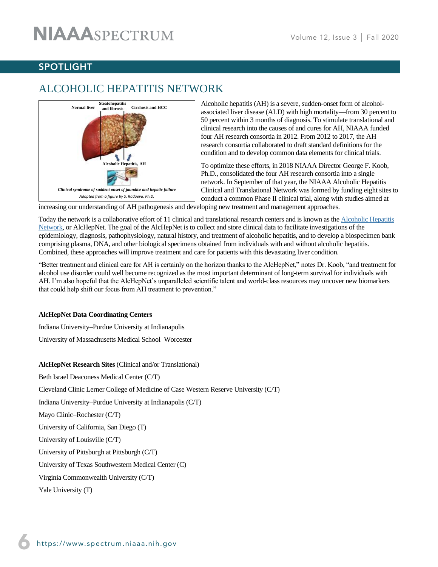# SPOTLIGHT

# ALCOHOLIC HEPATITIS NETWORK



Alcoholic hepatitis (AH) is a severe, sudden-onset form of alcoholassociated liver disease (ALD) with high mortality—from 30 percent to 50 percent within 3 months of diagnosis. To stimulate translational and clinical research into the causes of and cures for AH, NIAAA funded four AH research consortia in 2012. From 2012 to 2017, the AH research consortia collaborated to draft standard definitions for the condition and to develop common data elements for clinical trials.

To optimize these efforts, in 2018 NIAAA Director George F. Koob, Ph.D., consolidated the four AH research consortia into a single network. In September of that year, the NIAAA Alcoholic Hepatitis Clinical and Translational Network was formed by funding eight sites to conduct a common Phase II clinical trial, along with studies aimed at

increasing our understanding of AH pathogenesis and developing new treatment and management approaches.

Today the network is a collaborative effort of 11 clinical and translational research centers and is known as the [Alcoholic Hepatitis](http://www.alchepnet.org/)  [Network,](http://www.alchepnet.org/) or AlcHepNet. The goal of the AlcHepNet is to collect and store clinical data to facilitate investigations of the epidemiology, diagnosis, pathophysiology, natural history, and treatment of alcoholic hepatitis, and to develop a biospecimen bank comprising plasma, DNA, and other biological specimens obtained from individuals with and without alcoholic hepatitis. Combined, these approaches will improve treatment and care for patients with this devastating liver condition.

"Better treatment and clinical care for AH is certainly on the horizon thanks to the AlcHepNet," notes Dr. Koob, "and treatment for alcohol use disorder could well become recognized as the most important determinant of long-term survival for individuals with AH. I'm also hopeful that the AlcHepNet's unparalleled scientific talent and world-class resources may uncover new biomarkers that could help shift our focus from AH treatment to prevention."

#### **AlcHepNet Data Coordinating Centers**

Indiana University–Purdue University at Indianapolis

University of Massachusetts Medical School–Worcester

**AlcHepNet Research Sites** (Clinical and/or Translational) Beth Israel Deaconess Medical Center (C/T) Cleveland Clinic Lerner College of Medicine of Case Western Reserve University (C/T) Indiana University–Purdue University at Indianapolis (C/T) Mayo Clinic–Rochester (C/T) University of California, San Diego (T) University of Louisville (C/T) University of Pittsburgh at Pittsburgh (C/T) University of Texas Southwestern Medical Center (C) Virginia Commonwealth University (C/T) Yale University (T)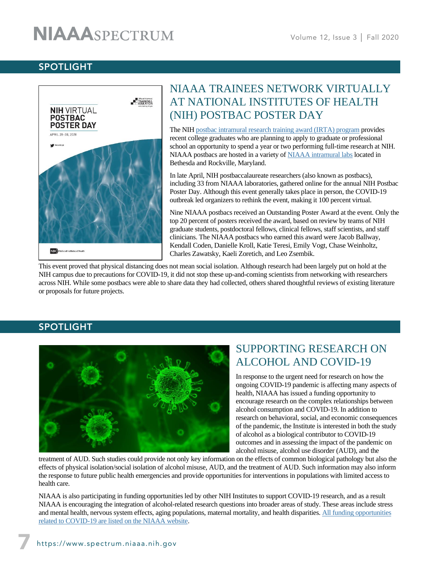## SPOTLIGHT



# NIAAA TRAINEES NETWORK VIRTUALLY AT NATIONAL INSTITUTES OF HEALTH (NIH) POSTBAC POSTER DAY

The NIH [postbac intramural research training award \(IRTA\) program](https://www.training.nih.gov/programs/postbac_irta) provides recent college graduates who are planning to apply to graduate or professional school an opportunity to spend a year or two performing full-time research at NIH. NIAAA postbacs are hosted in a variety of [NIAAA intramural labs](https://www.niaaa.nih.gov/research/division-intramural-clinical-and-biological-research/niaaa-laboratories) located in Bethesda and Rockville, Maryland.

In late April, NIH postbaccalaureate researchers (also known as postbacs), including 33 from NIAAA laboratories, gathered online for the annual NIH Postbac Poster Day. Although this event generally takes place in person, the COVID-19 outbreak led organizers to rethink the event, making it 100 percent virtual.

Nine NIAAA postbacs received an Outstanding Poster Award at the event. Only the top 20 percent of posters received the award, based on review by teams of NIH graduate students, postdoctoral fellows, clinical fellows, staff scientists, and staff clinicians. The NIAAA postbacs who earned this award were Jacob Ballway, Kendall Coden, Danielle Kroll, Katie Teresi, Emily Vogt, Chase Weinholtz, Charles Zawatsky, Kaeli Zoretich, and Leo Zsembik.

This event proved that physical distancing does not mean social isolation. Although research had been largely put on hold at the NIH campus due to precautions for COVID-19, it did not stop these up-and-coming scientists from networking with researchers across NIH. While some postbacs were able to share data they had collected, others shared thoughtful reviews of existing literature or proposals for future projects.

## SPOTLIGHT



# SUPPORTING RESEARCH ON ALCOHOL AND COVID-19

In response to the urgent need for research on how the ongoing COVID-19 pandemic is affecting many aspects of health, NIAAA has issued a funding opportunity to encourage research on the complex relationships between alcohol consumption and COVID-19. In addition to research on behavioral, social, and economic consequences of the pandemic, the Institute is interested in both the study of alcohol as a biological contributor to COVID-19 outcomes and in assessing the impact of the pandemic on alcohol misuse, alcohol use disorder (AUD), and the

treatment of AUD. Such studies could provide not only key information on the effects of common biological pathology but also the effects of physical isolation/social isolation of alcohol misuse, AUD, and the treatment of AUD. Such information may also inform the response to future public health emergencies and provide opportunities for interventions in populations with limited access to health care.

NIAAA is also participating in funding opportunities led by other NIH Institutes to support COVID-19 research, and as a result NIAAA is encouraging the integration of alcohol-related research questions into broader areas of study. These areas include stress and mental health, nervous system effects, aging populations, maternal mortality, and health disparities. [All funding opportunities](https://www.niaaa.nih.gov/funding-opportunities/covid-funding)  [related to COVID-19 are listed on the NIAAA website.](https://www.niaaa.nih.gov/funding-opportunities/covid-funding)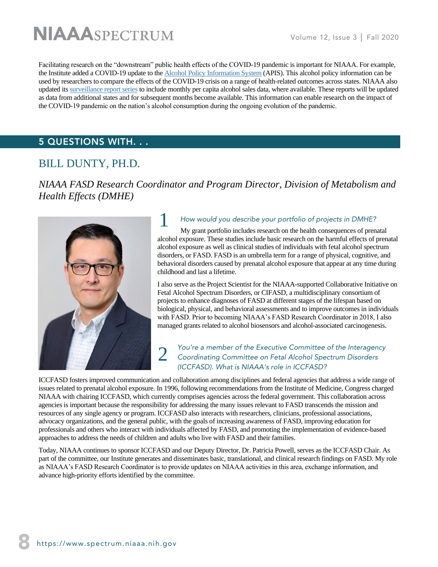Facilitating research on the "downstream" public health effects of the COVID-19 pandemic is important for NIAAA. For example, the Institute added a COVID-19 update to the [Alcohol Policy Information System](https://alcoholpolicy.niaaa.nih.gov/) (APIS). This alcohol policy information can be used by researchers to compare the effects of the COVID-19 crisis on a range of health-related outcomes across states. NIAAA also updated it[s surveillance report series](https://pubs.niaaa.nih.gov/publications/surveillance.htm) to include monthly per capita alcohol sales data, where available. These reports will be updated as data from additional states and for subsequent months become available. This information can enable research on the impact of the COVID-19 pandemic on the nation's alcohol consumption during the ongoing evolution of the pandemic.

## 5 QUESTIONS WITH. . .

# BILL DUNTY, PH.D.

*NIAAA FASD Research Coordinator and Program Director, Division of Metabolism and Health Effects (DMHE)*



# 1 *How would you describe your portfolio of projects in DMHE?*

My grant portfolio includes research on the health consequences of prenatal alcohol exposure. These studies include basic research on the harmful effects of prenatal alcohol exposure as well as clinical studies of individuals with fetal alcohol spectrum disorders, or FASD. FASD is an umbrella term for a range of physical, cognitive, and behavioral disorders caused by prenatal alcohol exposure that appear at any time during childhood and last a lifetime.

I also serve as the Project Scientist for the NIAAA-supported Collaborative Initiative on Fetal Alcohol Spectrum Disorders, or CIFASD, a multidisciplinary consortium of projects to enhance diagnoses of FASD at different stages of the lifespan based on biological, physical, and behavioral assessments and to improve outcomes in individuals with FASD. Prior to becoming NIAAA's FASD Research Coordinator in 2018, I also managed grants related to alcohol biosensors and alcohol-associated carcinogenesis.

#### 2 *You're a member of the Executive Committee of the Interagency Coordinating Committee on Fetal Alcohol Spectrum Disorders (ICCFASD). What is NIAAA's role in ICCFASD?*

ICCFASD fosters improved communication and collaboration among disciplines and federal agencies that address a wide range of issues related to prenatal alcohol exposure. In 1996, following recommendations from the Institute of Medicine, Congress charged NIAAA with chairing ICCFASD, which currently comprises agencies across the federal government. This collaboration across agencies is important because the responsibility for addressing the many issues relevant to FASD transcends the mission and resources of any single agency or program. ICCFASD also interacts with researchers, clinicians, professional associations, advocacy organizations, and the general public, with the goals of increasing awareness of FASD, improving education for professionals and others who interact with individuals affected by FASD, and promoting the implementation of evidence-based approaches to address the needs of children and adults who live with FASD and their families.

Today, NIAAA continues to sponsor ICCFASD and our Deputy Director, Dr. Patricia Powell, serves as the ICCFASD Chair. As part of the committee, our Institute generates and disseminates basic, translational, and clinical research findings on FASD. My role as NIAAA's FASD Research Coordinator is to provide updates on NIAAA activities in this area, exchange information, and advance high-priority efforts identified by the committee.